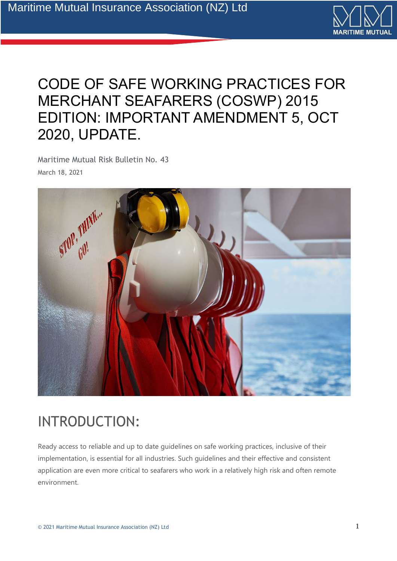

### CODE OF SAFE WORKING PRACTICES FOR MERCHANT SEAFARERS (COSWP) 2015 EDITION: IMPORTANT AMENDMENT 5, OCT 2020, UPDATE.

Maritime Mutual Risk Bulletin No. 43 March 18, 2021



## INTRODUCTION:

Ready access to reliable and up to date guidelines on safe working practices, inclusive of their implementation, is essential for all industries. Such guidelines and their effective and consistent application are even more critical to seafarers who work in a relatively high risk and often remote environment.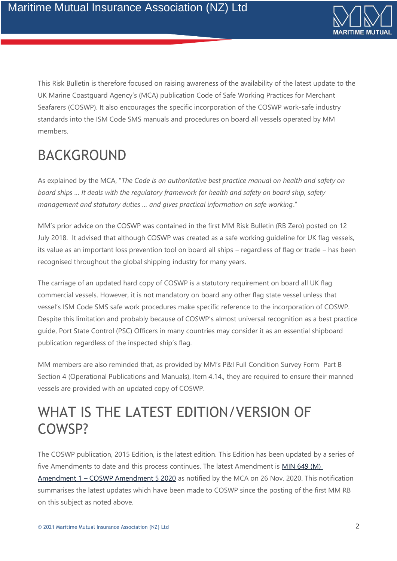

This Risk Bulletin is therefore focused on raising awareness of the availability of the latest update to the UK Marine Coastguard Agency's (MCA) publication Code of Safe Working Practices for Merchant Seafarers (COSWP). It also encourages the specific incorporation of the COSWP work-safe industry standards into the ISM Code SMS manuals and procedures on board all vessels operated by MM members.

# BACKGROUND

As explained by the MCA, "*The Code is an authoritative best practice manual on health and safety on board ships … It deals with the regulatory framework for health and safety on board ship, safety management and statutory duties … and gives practical information on safe working*."

MM's prior advice on the COSWP was contained in the first MM Risk Bulletin (RB Zero) posted on 12 July 2018. It advised that although COSWP was created as a safe working guideline for UK flag vessels, its value as an important loss prevention tool on board all ships – regardless of flag or trade – has been recognised throughout the global shipping industry for many years.

The carriage of an updated hard copy of COSWP is a statutory requirement on board all UK flag commercial vessels. However, it is not mandatory on board any other flag state vessel unless that vessel's ISM Code SMS safe work procedures make specific reference to the incorporation of COSWP. Despite this limitation and probably because of COSWP's almost universal recognition as a best practice guide, Port State Control (PSC) Officers in many countries may consider it as an essential shipboard publication regardless of the inspected ship's flag.

MM members are also reminded that, as provided by MM's P&I Full Condition Survey Form Part B Section 4 (Operational Publications and Manuals), Item 4.14., they are required to ensure their manned vessels are provided with an updated copy of COSWP.

### WHAT IS THE LATEST EDITION/VERSION OF COWSP?

The COSWP publication, 2015 Edition, is the latest edition. This Edition has been updated by a series of five Amendments to date and this process continues. The latest Amendment is [MIN 649 \(M\)](https://www.gov.uk/government/publications/min-649-m-amendment-1-coswp-amendment-5-2020)  Amendment 1 – [COSWP Amendment 5 2020](https://www.gov.uk/government/publications/min-649-m-amendment-1-coswp-amendment-5-2020) as notified by the MCA on 26 Nov. 2020. This notification summarises the latest updates which have been made to COSWP since the posting of the first MM RB on this subject as noted above.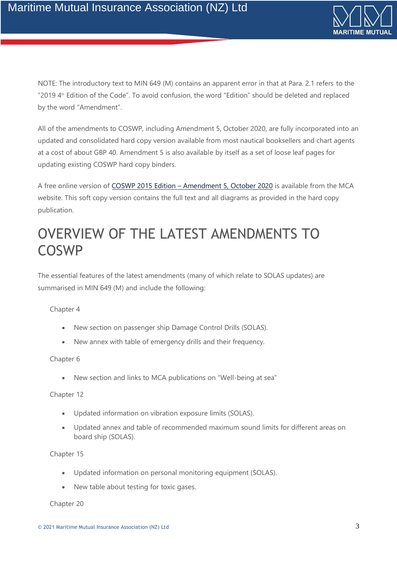

NOTE: The introductory text to MIN 649 (M) contains an apparent error in that at Para. 2.1 refers to the "2019  $4<sup>th</sup>$  Edition of the Code". To avoid confusion, the word "Edition" should be deleted and replaced by the word "Amendment".

All of the amendments to COSWP, including Amendment 5, October 2020, are fully incorporated into an updated and consolidated hard copy version available from most nautical booksellers and chart agents at a cost of about GBP 40. Amendment 5 is also available by itself as a set of loose leaf pages for updating existing COSWP hard copy binders.

A free online version of COSWP 2015 Edition – [Amendment 5, October 2020](https://assets.publishing.service.gov.uk/government/uploads/system/uploads/attachment_data/file/938726/Code_of_Safe_Working_Practices_for_Merchant_Seafarers_Amendment_5_Oct_2020_v.2.pdf) is available from the MCA website. This soft copy version contains the full text and all diagrams as provided in the hard copy publication.

### OVERVIEW OF THE LATEST AMENDMENTS TO COSWP

The essential features of the latest amendments (many of which relate to SOLAS updates) are summarised in MIN 649 (M) and include the following:

#### Chapter 4

- New section on passenger ship Damage Control Drills (SOLAS).
- New annex with table of emergency drills and their frequency.

#### Chapter 6

• New section and links to MCA publications on "Well-being at sea"

#### Chapter 12

- Updated information on vibration exposure limits (SOLAS).
- Updated annex and table of recommended maximum sound limits for different areas on board ship (SOLAS).

#### Chapter 15

- Updated information on personal monitoring equipment (SOLAS).
- New table about testing for toxic gases.

Chapter 20